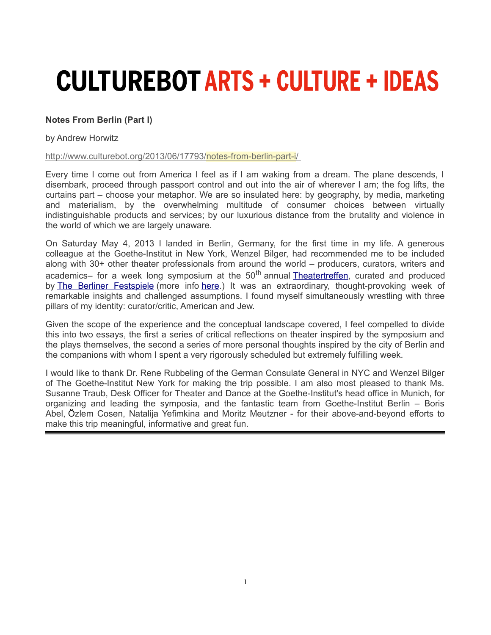# **CULTUREBOT ARTS + CULTURE + IDEAS**

## **Notes From Berlin (Part I)**

### by Andrew Horwitz

#### http://www.culturebot.org/2013/06/17793/notes-from-berlin-part-i/

Every time I come out from America I feel as if I am waking from a dream. The plane descends, I disembark, proceed through passport control and out into the air of wherever I am; the fog lifts, the curtains part – choose your metaphor. We are so insulated here: by geography, by media, marketing and materialism, by the overwhelming multitude of consumer choices between virtually indistinguishable products and services; by our luxurious distance from the brutality and violence in the world of which we are largely unaware.

On Saturday May 4, 2013 I landed in Berlin, Germany, for the first time in my life. A generous colleague at the Goethe-Institut in New York, Wenzel Bilger, had recommended me to be included along with 30+ other theater professionals from around the world – producers, curators, writers and academics– for a week long symposium at the 50<sup>th</sup> annual [Theatertreffen,](http://www.berlinerfestspiele.de/en/aktuell/festivals/theatertreffen/ueber_festival_tt/aktuell_tt/start.php) curated and produced by [The Berliner Festspiele](http://www.berlinerfestspiele.de/de/aktuell/Startseite.php) (more info [here.](http://www.berlinerfestspiele.de/en/aktuell/festivals/theatertreffen/ueber_festival_tt/das_festival_2013_tt/intro_tt13.php)) It was an extraordinary, thought-provoking week of remarkable insights and challenged assumptions. I found myself simultaneously wrestling with three pillars of my identity: curator/critic, American and Jew.

Given the scope of the experience and the conceptual landscape covered, I feel compelled to divide this into two essays, the first a series of critical reflections on theater inspired by the symposium and the plays themselves, the second a series of more personal thoughts inspired by the city of Berlin and the companions with whom I spent a very rigorously scheduled but extremely fulfilling week.

I would like to thank Dr. Rene Rubbeling of the German Consulate General in NYC and Wenzel Bilger of The Goethe-Institut New York for making the trip possible. I am also most pleased to thank Ms. Susanne Traub, Desk Officer for Theater and Dance at the Goethe-Institut's head office in Munich, for organizing and leading the symposia, and the fantastic team from Goethe-Institut Berlin – Boris Abel, Özlem Cosen, Natalija Yefimkina and Moritz Meutzner - for their above-and-beyond efforts to make this trip meaningful, informative and great fun.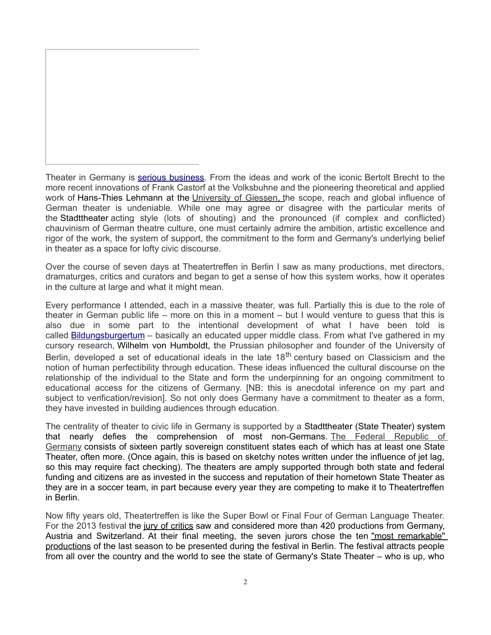

Theater in Germany is [serious business.](http://www.tatsachen-ueber-deutschland.de/en/culture-and-media/main-content-09/theater.html) From the ideas and work of the iconic Bertolt Brecht to the more recent innovations of Frank Castorf at the Volksbuhne and the pioneering theoretical and applied work of Hans-Thies Lehmann at the University of Giessen, the scope, reach and global influence of German theater is undeniable. While one may agree or disagree with the particular merits of the Stadttheater acting style (lots of shouting) and the pronounced (if complex and conflicted) chauvinism of German theatre culture, one must certainly admire the ambition, artistic excellence and rigor of the work, the system of support, the commitment to the form and Germany's underlying belief in theater as a space for lofty civic discourse.

Over the course of seven days at Theatertreffen in Berlin I saw as many productions, met directors, dramaturges, critics and curators and began to get a sense of how this system works, how it operates in the culture at large and what it might mean.

Every performance I attended, each in a massive theater, was full. Partially this is due to the role of theater in German public life – more on this in a moment – but I would venture to guess that this is also due in some part to the intentional development of what I have been told is called [Bildungsburgertum](http://en.wikipedia.org/wiki/Bildungsb%C3%BCrgertum) – basically an educated upper middle class. From what I've gathered in my cursory research, Wilhelm von Humboldt, the Prussian philosopher and founder of the University of Berlin, developed a set of educational ideals in the late  $18<sup>th</sup>$  century based on Classicism and the notion of human perfectibility through education. These ideas influenced the cultural discourse on the relationship of the individual to the State and form the underpinning for an ongoing commitment to educational access for the citizens of Germany. [NB: this is anecdotal inference on my part and subject to verification/revision]. So not only does Germany have a commitment to theater as a form, they have invested in building audiences through education.

The centrality of theater to civic life in Germany is supported by a Stadttheater (State Theater) system that nearly defies the comprehension of most non-Germans. [The Federal Republic of](http://en.wikipedia.org/wiki/Germany) [Germany](http://en.wikipedia.org/wiki/Germany) consists of sixteen partly sovereign constituent states each of which has at least one State Theater, often more. (Once again, this is based on sketchy notes written under the influence of jet lag, so this may require fact checking). The theaters are amply supported through both state and federal funding and citizens are as invested in the success and reputation of their hometown State Theater as they are in a soccer team, in part because every year they are competing to make it to Theatertreffen in Berlin.

Now fifty years old, Theatertreffen is like the Super Bowl or Final Four of German Language Theater. For the 2013 festival the [jury of critics](http://www.berlinerfestspiele.de/en/aktuell/festivals/theatertreffen/ueber_festival_tt/jury_tt_1/jury_tt_2.php) saw and considered more than 420 productions from Germany, Austria and Switzerland. At their final meeting, the seven jurors chose the ten ["most remarkable"](http://www.berlinerfestspiele.de/en/aktuell/festivals/theatertreffen/tt13_programm/tt13_programm_auswahl/tt13_programmliste_auswahl.php) [productions](http://www.berlinerfestspiele.de/en/aktuell/festivals/theatertreffen/tt13_programm/tt13_programm_auswahl/tt13_programmliste_auswahl.php) of the last season to be presented during the festival in Berlin. The festival attracts people from all over the country and the world to see the state of Germany's State Theater – who is up, who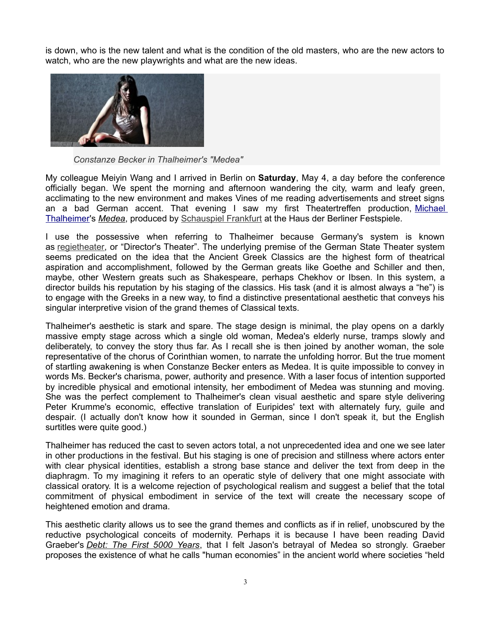is down, who is the new talent and what is the condition of the old masters, who are the new actors to watch, who are the new playwrights and what are the new ideas.



*Constanze Becker in Thalheimer's "Medea"*

My colleague Meiyin Wang and I arrived in Berlin on **Saturday**, May 4, a day before the conference officially began. We spent the morning and afternoon wandering the city, warm and leafy green, acclimating to the new environment and makes Vines of me reading advertisements and street signs an a bad German accent. That evening I saw my first Theatertreffen production, [Michael](http://www.goethe.de/kue/the/reg/reg/sz/tha/enindex.htm) [Thalheimer](http://www.goethe.de/kue/the/reg/reg/sz/tha/enindex.htm)'s *[Medea](http://www.berlinerfestspiele.de/en/aktuell/festivals/theatertreffen/tt13_programm/tt13_programm_gesamt/tt13_veranstaltungsdetail_62370.php)*, produced by [Schauspiel Frankfurt](http://www.schauspielfrankfurt.de/en/index.php) at the Haus der Berliner Festspiele.

I use the possessive when referring to Thalheimer because Germany's system is known as [regietheater,](http://en.wikipedia.org/wiki/Regietheater) or "Director's Theater". The underlying premise of the German State Theater system seems predicated on the idea that the Ancient Greek Classics are the highest form of theatrical aspiration and accomplishment, followed by the German greats like Goethe and Schiller and then, maybe, other Western greats such as Shakespeare, perhaps Chekhov or Ibsen. In this system, a director builds his reputation by his staging of the classics. His task (and it is almost always a "he") is to engage with the Greeks in a new way, to find a distinctive presentational aesthetic that conveys his singular interpretive vision of the grand themes of Classical texts.

Thalheimer's aesthetic is stark and spare. The stage design is minimal, the play opens on a darkly massive empty stage across which a single old woman, Medea's elderly nurse, tramps slowly and deliberately, to convey the story thus far. As I recall she is then joined by another woman, the sole representative of the chorus of Corinthian women, to narrate the unfolding horror. But the true moment of startling awakening is when Constanze Becker enters as Medea. It is quite impossible to convey in words Ms. Becker's charisma, power, authority and presence. With a laser focus of intention supported by incredible physical and emotional intensity, her embodiment of Medea was stunning and moving. She was the perfect complement to Thalheimer's clean visual aesthetic and spare style delivering Peter Krumme's economic, effective translation of Euripides' text with alternately fury, guile and despair. (I actually don't know how it sounded in German, since I don't speak it, but the English surtitles were quite good.)

Thalheimer has reduced the cast to seven actors total, a not unprecedented idea and one we see later in other productions in the festival. But his staging is one of precision and stillness where actors enter with clear physical identities, establish a strong base stance and deliver the text from deep in the diaphragm. To my imagining it refers to an operatic style of delivery that one might associate with classical oratory. It is a welcome rejection of psychological realism and suggest a belief that the total commitment of physical embodiment in service of the text will create the necessary scope of heightened emotion and drama.

This aesthetic clarity allows us to see the grand themes and conflicts as if in relief, unobscured by the reductive psychological conceits of modernity. Perhaps it is because I have been reading David Graeber's *[Debt: The First 5000 Years](http://www.mhpbooks.com/books/debt/)*, that I felt Jason's betrayal of Medea so strongly. Graeber proposes the existence of what he calls "human economies" in the ancient world where societies "held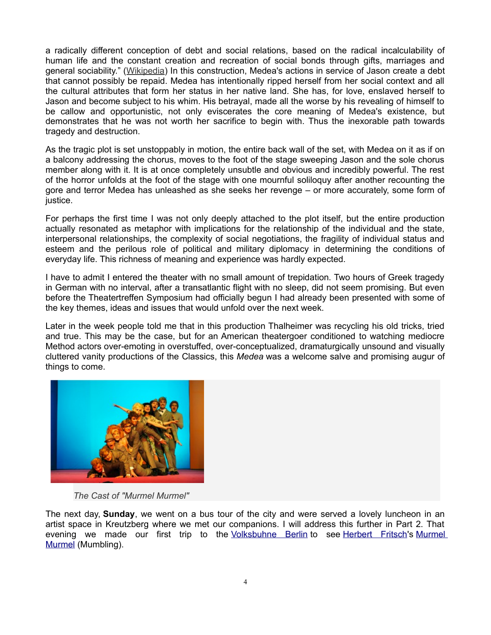a radically different conception of debt and social relations, based on the radical incalculability of human life and the constant creation and recreation of social bonds through gifts, marriages and general sociability." [\(Wikipedia\)](http://en.wikipedia.org/wiki/Debt:_The_First_5000_Years) In this construction, Medea's actions in service of Jason create a debt that cannot possibly be repaid. Medea has intentionally ripped herself from her social context and all the cultural attributes that form her status in her native land. She has, for love, enslaved herself to Jason and become subject to his whim. His betrayal, made all the worse by his revealing of himself to be callow and opportunistic, not only eviscerates the core meaning of Medea's existence, but demonstrates that he was not worth her sacrifice to begin with. Thus the inexorable path towards tragedy and destruction.

As the tragic plot is set unstoppably in motion, the entire back wall of the set, with Medea on it as if on a balcony addressing the chorus, moves to the foot of the stage sweeping Jason and the sole chorus member along with it. It is at once completely unsubtle and obvious and incredibly powerful. The rest of the horror unfolds at the foot of the stage with one mournful soliloquy after another recounting the gore and terror Medea has unleashed as she seeks her revenge – or more accurately, some form of justice.

For perhaps the first time I was not only deeply attached to the plot itself, but the entire production actually resonated as metaphor with implications for the relationship of the individual and the state, interpersonal relationships, the complexity of social negotiations, the fragility of individual status and esteem and the perilous role of political and military diplomacy in determining the conditions of everyday life. This richness of meaning and experience was hardly expected.

I have to admit I entered the theater with no small amount of trepidation. Two hours of Greek tragedy in German with no interval, after a transatlantic flight with no sleep, did not seem promising. But even before the Theatertreffen Symposium had officially begun I had already been presented with some of the key themes, ideas and issues that would unfold over the next week.

Later in the week people told me that in this production Thalheimer was recycling his old tricks, tried and true. This may be the case, but for an American theatergoer conditioned to watching mediocre Method actors over-emoting in overstuffed, over-conceptualized, dramaturgically unsound and visually cluttered vanity productions of the Classics, this *Medea* was a welcome salve and promising augur of things to come.



*The Cast of "Murmel Murmel"*

The next day, **Sunday**, we went on a bus tour of the city and were served a lovely luncheon in an artist space in Kreutzberg where we met our companions. I will address this further in Part 2. That evening we made our first trip to the [Volksbuhne Berlin](http://www.volksbuehne-berlin.de/) to see [Herbert Fritsch'](http://www.goethe.de/kue/the/reg/reg/ag/fri/enindex.htm)s [Murmel](http://www.volksbuehne-berlin.de/praxis/murmel/) [Murmel](http://www.volksbuehne-berlin.de/praxis/murmel/) (Mumbling).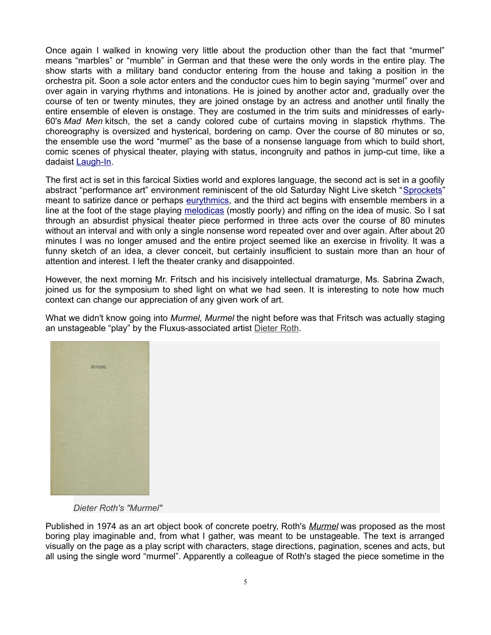Once again I walked in knowing very little about the production other than the fact that "murmel" means "marbles" or "mumble" in German and that these were the only words in the entire play. The show starts with a military band conductor entering from the house and taking a position in the orchestra pit. Soon a sole actor enters and the conductor cues him to begin saying "murmel" over and over again in varying rhythms and intonations. He is joined by another actor and, gradually over the course of ten or twenty minutes, they are joined onstage by an actress and another until finally the entire ensemble of eleven is onstage. They are costumed in the trim suits and minidresses of early-60's *Mad Men* kitsch, the set a candy colored cube of curtains moving in slapstick rhythms. The choreography is oversized and hysterical, bordering on camp. Over the course of 80 minutes or so, the ensemble use the word "murmel" as the base of a nonsense language from which to build short, comic scenes of physical theater, playing with status, incongruity and pathos in jump-cut time, like a dadaist [Laugh-In.](http://en.wikipedia.org/wiki/Rowan_&_Martin)

The first act is set in this farcical Sixties world and explores language, the second act is set in a goofily abstract "performance art" environment reminiscent of the old Saturday Night Live sketch "[Sprockets"](http://en.wikipedia.org/wiki/Sprockets_(Saturday_Night_Live)) meant to satirize dance or perhaps [eurythmics,](http://en.wikipedia.org/wiki/Dalcroze_Eurhythmics) and the third act begins with ensemble members in a line at the foot of the stage playing [melodicas](http://en.wikipedia.org/wiki/Melodica) (mostly poorly) and riffing on the idea of music. So I sat through an absurdist physical theater piece performed in three acts over the course of 80 minutes without an interval and with only a single nonsense word repeated over and over again. After about 20 minutes I was no longer amused and the entire project seemed like an exercise in frivolity. It was a funny sketch of an idea, a clever conceit, but certainly insufficient to sustain more than an hour of attention and interest. I left the theater cranky and disappointed.

However, the next morning Mr. Fritsch and his incisively intellectual dramaturge, Ms. Sabrina Zwach, joined us for the symposium to shed light on what we had seen. It is interesting to note how much context can change our appreciation of any given work of art.

What we didn't know going into *Murmel, Murmel* the night before was that Fritsch was actually staging an unstageable "play" by the Fluxus-associated artist [Dieter Roth.](http://en.wikipedia.org/wiki/Dieter_Roth)



*Dieter Roth's "Murmel"*

Published in 1974 as an art object book of concrete poetry, Roth's *[Murmel](http://www.worldcat.org/title/murmel/oclc/721513421)* was proposed as the most boring play imaginable and, from what I gather, was meant to be unstageable. The text is arranged visually on the page as a play script with characters, stage directions, pagination, scenes and acts, but all using the single word "murmel". Apparently a colleague of Roth's staged the piece sometime in the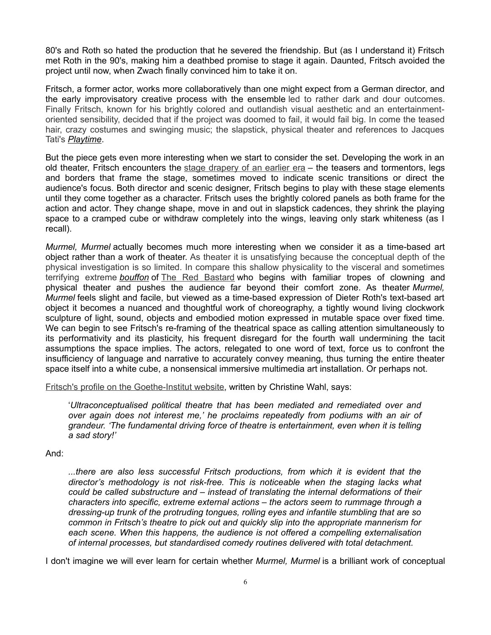80's and Roth so hated the production that he severed the friendship. But (as I understand it) Fritsch met Roth in the 90's, making him a deathbed promise to stage it again. Daunted, Fritsch avoided the project until now, when Zwach finally convinced him to take it on.

Fritsch, a former actor, works more collaboratively than one might expect from a German director, and the early improvisatory creative process with the ensemble led to rather dark and dour outcomes. Finally Fritsch, known for his brightly colored and outlandish visual aesthetic and an entertainmentoriented sensibility, decided that if the project was doomed to fail, it would fail big. In come the teased hair, crazy costumes and swinging music; the slapstick, physical theater and references to Jacques Tati's *[Playtime](http://en.wikipedia.org/wiki/Playtime)*.

But the piece gets even more interesting when we start to consider the set. Developing the work in an old theater, Fritsch encounters the [stage drapery of an earlier era](http://en.wikipedia.org/wiki/Theater_drapes_and_stage_curtains) - the teasers and tormentors, legs and borders that frame the stage, sometimes moved to indicate scenic transitions or direct the audience's focus. Both director and scenic designer, Fritsch begins to play with these stage elements until they come together as a character. Fritsch uses the brightly colored panels as both frame for the action and actor. They change shape, move in and out in slapstick cadences, they shrink the playing space to a cramped cube or withdraw completely into the wings, leaving only stark whiteness (as I recall).

*Murmel, Murmel* actually becomes much more interesting when we consider it as a time-based art object rather than a work of theater. As theater it is unsatisfying because the conceptual depth of the physical investigation is so limited. In compare this shallow physicality to the visceral and sometimes terrifying extreme *[bouffon](http://en.wikipedia.org/wiki/Bouffon)* of [The Red Bastard](http://www.redbastard.com/) who begins with familiar tropes of clowning and physical theater and pushes the audience far beyond their comfort zone. As theater *Murmel, Murmel* feels slight and facile, but viewed as a time-based expression of Dieter Roth's text-based art object it becomes a nuanced and thoughtful work of choreography, a tightly wound living clockwork sculpture of light, sound, objects and embodied motion expressed in mutable space over fixed time. We can begin to see Fritsch's re-framing of the theatrical space as calling attention simultaneously to its performativity and its plasticity, his frequent disregard for the fourth wall undermining the tacit assumptions the space implies. The actors, relegated to one word of text, force us to confront the insufficiency of language and narrative to accurately convey meaning, thus turning the entire theater space itself into a white cube, a nonsensical immersive multimedia art installation. Or perhaps not.

[Fritsch's profile on the Goethe-Institut website,](http://www.goethe.de/kue/the/reg/reg/ag/fri/enindex.htm) written by Christine Wahl, says:

'*Ultraconceptualised political theatre that has been mediated and remediated over and over again does not interest me,' he proclaims repeatedly from podiums with an air of grandeur. 'The fundamental driving force of theatre is entertainment, even when it is telling a sad story!'*

### And:

*...there are also less successful Fritsch productions, from which it is evident that the director's methodology is not risk-free. This is noticeable when the staging lacks what could be called substructure and – instead of translating the internal deformations of their characters into specific, extreme external actions – the actors seem to rummage through a dressing-up trunk of the protruding tongues, rolling eyes and infantile stumbling that are so common in Fritsch's theatre to pick out and quickly slip into the appropriate mannerism for each scene. When this happens, the audience is not offered a compelling externalisation of internal processes, but standardised comedy routines delivered with total detachment.*

I don't imagine we will ever learn for certain whether *Murmel, Murmel* is a brilliant work of conceptual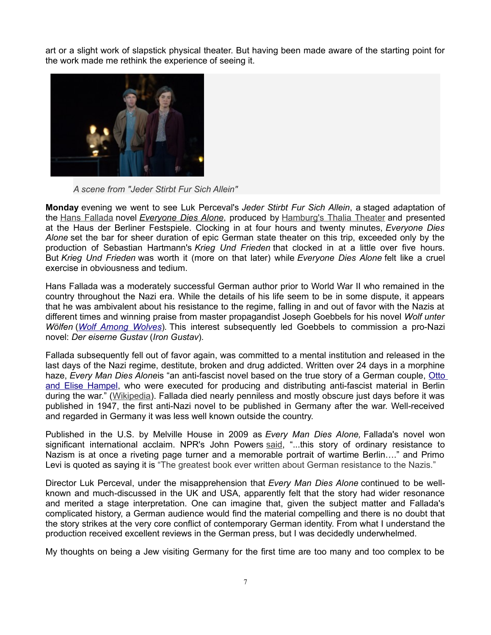art or a slight work of slapstick physical theater. But having been made aware of the starting point for the work made me rethink the experience of seeing it.



*A scene from "Jeder Stirbt Fur Sich Allein"*

**Monday** evening we went to see Luk Perceval's *Jeder Stirbt Fur Sich Allein*, a staged adaptation of the [Hans Fallada](http://en.wikipedia.org/wiki/Hans_Fallada) novel *[Everyone Dies Alone](http://www.mhpbooks.com/books/every-man-dies-alone/)*, produced by [Hamburg's Thalia Theater](http://www.thalia-theater.de/h/) and presented at the Haus der Berliner Festspiele. Clocking in at four hours and twenty minutes, *Everyone Dies Alone* set the bar for sheer duration of epic German state theater on this trip, exceeded only by the production of Sebastian Hartmann's *Krieg Und Frieden* that clocked in at a little over five hours. But *Krieg Und Frieden* was worth it (more on that later) while *Everyone Dies Alone* felt like a cruel exercise in obviousness and tedium.

Hans Fallada was a moderately successful German author prior to World War II who remained in the country throughout the Nazi era. While the details of his life seem to be in some dispute, it appears that he was ambivalent about his resistance to the regime, falling in and out of favor with the Nazis at different times and winning praise from master propagandist Joseph Goebbels for his novel *Wolf unter Wölfen* (*[Wolf Among Wolves](http://en.wikipedia.org/wiki/Wolf_Among_Wolves)*)*.* This interest subsequently led Goebbels to commission a pro-Nazi novel: *Der eiserne Gustav* (*Iron Gustav*).

Fallada subsequently fell out of favor again, was committed to a mental institution and released in the last days of the Nazi regime, destitute, broken and drug addicted. Written over 24 days in a morphine haze, *Every Man Dies Alone*is "an anti-fascist novel based on the true story of a German couple, [Otto](http://en.wikipedia.org/wiki/Otto_and_Elise_Hampel) [and Elise Hampel,](http://en.wikipedia.org/wiki/Otto_and_Elise_Hampel) who were executed for producing and distributing anti-fascist material in Berlin during the war." [\(Wikipedia\)](http://en.wikipedia.org/wiki/Every_Man_Dies_Alone). Fallada died nearly penniless and mostly obscure just days before it was published in 1947, the first anti-Nazi novel to be published in Germany after the war. Well-received and regarded in Germany it was less well known outside the country.

Published in the U.S. by Melville House in 2009 as *Every Man Dies Alone,* Fallada's novel won significant international acclaim. NPR's John Powers [said,](http://www.npr.org/templates/story/story.php?storyId=103652207) "...this story of ordinary resistance to Nazism is at once a riveting page turner and a memorable portrait of wartime Berlin…." and Primo Levi is quoted as saying it is "The greatest book ever written about German resistance to the Nazis."

Director Luk Perceval, under the misapprehension that *Every Man Dies Alone* continued to be wellknown and much-discussed in the UK and USA, apparently felt that the story had wider resonance and merited a stage interpretation. One can imagine that, given the subject matter and Fallada's complicated history, a German audience would find the material compelling and there is no doubt that the story strikes at the very core conflict of contemporary German identity. From what I understand the production received excellent reviews in the German press, but I was decidedly underwhelmed.

My thoughts on being a Jew visiting Germany for the first time are too many and too complex to be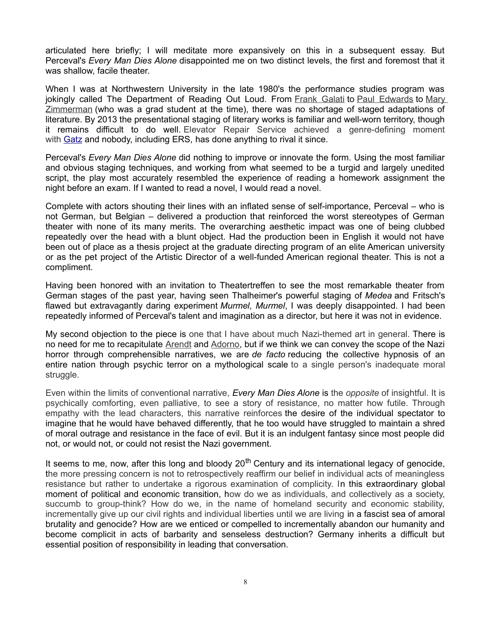articulated here briefly; I will meditate more expansively on this in a subsequent essay. But Perceval's *Every Man Dies Alone* disappointed me on two distinct levels, the first and foremost that it was shallow, facile theater.

When I was at Northwestern University in the late 1980's the performance studies program was jokingly called The Department of Reading Out Loud. From [Frank Galati](http://www.steppenwolf.org/ensemble/members/details.aspx?id=25) to [Paul Edwards](http://www.communication.northwestern.edu/faculty/?PID=PaulEdwards) to [Mary](http://lookingglasstheatre.org/content/mary-zimmerman) [Zimmerman](http://lookingglasstheatre.org/content/mary-zimmerman) (who was a grad student at the time), there was no shortage of staged adaptations of literature. By 2013 the presentational staging of literary works is familiar and well-worn territory, though it remains difficult to do well. Elevator Repair Service achieved a genre-defining moment with [Gatz](http://www.elevator.org/works/gatz/) and nobody, including ERS, has done anything to rival it since.

Perceval's *Every Man Dies Alone* did nothing to improve or innovate the form. Using the most familiar and obvious staging techniques, and working from what seemed to be a turgid and largely unedited script, the play most accurately resembled the experience of reading a homework assignment the night before an exam. If I wanted to read a novel, I would read a novel.

Complete with actors shouting their lines with an inflated sense of self-importance, Perceval – who is not German, but Belgian – delivered a production that reinforced the worst stereotypes of German theater with none of its many merits. The overarching aesthetic impact was one of being clubbed repeatedly over the head with a blunt object. Had the production been in English it would not have been out of place as a thesis project at the graduate directing program of an elite American university or as the pet project of the Artistic Director of a well-funded American regional theater. This is not a compliment.

Having been honored with an invitation to Theatertreffen to see the most remarkable theater from German stages of the past year, having seen Thalheimer's powerful staging of *Medea* and Fritsch's flawed but extravagantly daring experiment *Murmel, Murmel*, I was deeply disappointed. I had been repeatedly informed of Perceval's talent and imagination as a director, but here it was not in evidence.

My second objection to the piece is one that I have about much Nazi-themed art in general. There is no need for me to recapitulate [Arendt](http://en.wikipedia.org/wiki/Hannah_Arendt) and [Adorno,](http://en.wikipedia.org/wiki/Theodor_W._Adorno) but if we think we can convey the scope of the Nazi horror through comprehensible narratives, we are *de facto* reducing the collective hypnosis of an entire nation through psychic terror on a mythological scale to a single person's inadequate moral struggle.

Even within the limits of conventional narrative, *Every Man Dies Alone* is the *opposite* of insightful. It is psychically comforting, even palliative, to see a story of resistance, no matter how futile. Through empathy with the lead characters, this narrative reinforces the desire of the individual spectator to imagine that he would have behaved differently, that he too would have struggled to maintain a shred of moral outrage and resistance in the face of evil. But it is an indulgent fantasy since most people did not, or would not, or could not resist the Nazi government.

It seems to me, now, after this long and bloody  $20<sup>th</sup>$  Century and its international legacy of genocide, the more pressing concern is not to retrospectively reaffirm our belief in individual acts of meaningless resistance but rather to undertake a rigorous examination of complicity. In this extraordinary global moment of political and economic transition, how do we as individuals, and collectively as a society, succumb to group-think? How do we, in the name of homeland security and economic stability, incrementally give up our civil rights and individual liberties until we are living in a fascist sea of amoral brutality and genocide? How are we enticed or compelled to incrementally abandon our humanity and become complicit in acts of barbarity and senseless destruction? Germany inherits a difficult but essential position of responsibility in leading that conversation.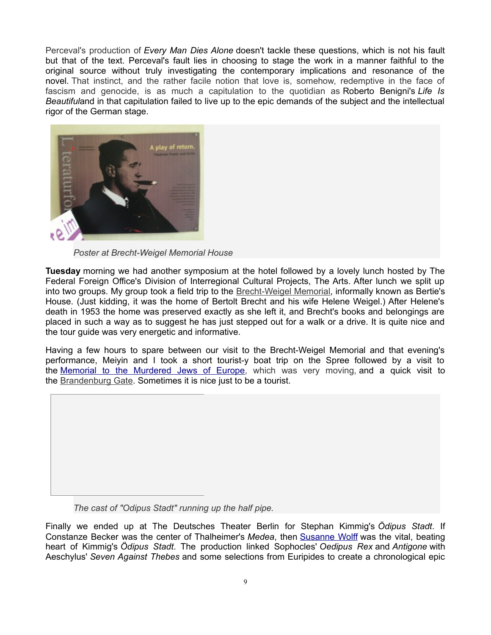Perceval's production of *Every Man Dies Alone* doesn't tackle these questions, which is not his fault but that of the text. Perceval's fault lies in choosing to stage the work in a manner faithful to the original source without truly investigating the contemporary implications and resonance of the novel. That instinct, and the rather facile notion that love is, somehow, redemptive in the face of fascism and genocide, is as much a capitulation to the quotidian as Roberto Benigni's *Life Is Beautiful*and in that capitulation failed to live up to the epic demands of the subject and the intellectual rigor of the German stage.



*Poster at Brecht-Weigel Memorial House*

**Tuesday** morning we had another symposium at the hotel followed by a lovely lunch hosted by The Federal Foreign Office's Division of Interregional Cultural Projects, The Arts. After lunch we split up into two groups. My group took a field trip to the [Brecht-Weigel Memorial,](http://www.adk.de/en/archive/memorial-centres/brechtweigel-memorial-centres.htm) informally known as Bertie's House. (Just kidding, it was the home of Bertolt Brecht and his wife Helene Weigel.) After Helene's death in 1953 the home was preserved exactly as she left it, and Brecht's books and belongings are placed in such a way as to suggest he has just stepped out for a walk or a drive. It is quite nice and the tour guide was very energetic and informative.

Having a few hours to spare between our visit to the Brecht-Weigel Memorial and that evening's performance, Meiyin and I took a short tourist-y boat trip on the Spree followed by a visit to the [Memorial to the Murdered Jews of Europe,](http://www.stiftung-denkmal.de/en/memorials/the-memorial-to-the-murdered-jews-of-europe.html) which was very moving, and a quick visit to the [Brandenburg Gate.](http://www.berlin.de/orte/sehenswuerdigkeiten/brandenburger-tor/index.en.php) Sometimes it is nice just to be a tourist.



*The cast of "Odipus Stadt" running up the half pipe.*

Finally we ended up at The Deutsches Theater Berlin for Stephan Kimmig's *Ödipus Stadt*. If Constanze Becker was the center of Thalheimer's *Medea*, then [Susanne Wolff](http://www.deutschestheater.de/english/home/oedipus_city/susanne_wolff/) was the vital, beating heart of Kimmig's *Ödipus Stadt*. The production linked Sophocles' *Oedipus Rex* and *Antigone* with Aeschylus' *Seven Against Thebes* and some selections from Euripides to create a chronological epic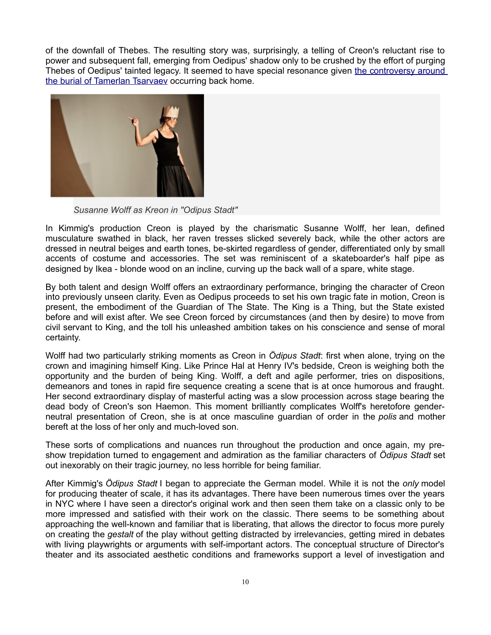of the downfall of Thebes. The resulting story was, surprisingly, a telling of Creon's reluctant rise to power and subsequent fall, emerging from Oedipus' shadow only to be crushed by the effort of purging Thebes of Oedipus' tainted legacy. It seemed to have special resonance given [the controversy around](http://www.newyorker.com/online/blogs/books/2013/05/unburied-tamerlan-tsarvaev-and-the-lessons-of-greek-tragedy.html) [the burial of Tamerlan Tsarvaev](http://www.newyorker.com/online/blogs/books/2013/05/unburied-tamerlan-tsarvaev-and-the-lessons-of-greek-tragedy.html) occurring back home.



*Susanne Wolff as Kreon in "Odipus Stadt"*

In Kimmig's production Creon is played by the charismatic Susanne Wolff, her lean, defined musculature swathed in black, her raven tresses slicked severely back, while the other actors are dressed in neutral beiges and earth tones, be-skirted regardless of gender, differentiated only by small accents of costume and accessories. The set was reminiscent of a skateboarder's half pipe as designed by Ikea - blonde wood on an incline, curving up the back wall of a spare, white stage.

By both talent and design Wolff offers an extraordinary performance, bringing the character of Creon into previously unseen clarity. Even as Oedipus proceeds to set his own tragic fate in motion, Creon is present, the embodiment of the Guardian of The State. The King is a Thing, but the State existed before and will exist after. We see Creon forced by circumstances (and then by desire) to move from civil servant to King, and the toll his unleashed ambition takes on his conscience and sense of moral certainty.

Wolff had two particularly striking moments as Creon in *Ödipus Stadt*: first when alone, trying on the crown and imagining himself King. Like Prince Hal at Henry IV's bedside, Creon is weighing both the opportunity and the burden of being King. Wolff, a deft and agile performer, tries on dispositions, demeanors and tones in rapid fire sequence creating a scene that is at once humorous and fraught. Her second extraordinary display of masterful acting was a slow procession across stage bearing the dead body of Creon's son Haemon. This moment brilliantly complicates Wolff's heretofore genderneutral presentation of Creon, she is at once masculine guardian of order in the *polis* and mother bereft at the loss of her only and much-loved son.

These sorts of complications and nuances run throughout the production and once again, my preshow trepidation turned to engagement and admiration as the familiar characters of *Ödipus Stadt* set out inexorably on their tragic journey, no less horrible for being familiar.

After Kimmig's *Ödipus Stadt* I began to appreciate the German model. While it is not the *only* model for producing theater of scale, it has its advantages. There have been numerous times over the years in NYC where I have seen a director's original work and then seen them take on a classic only to be more impressed and satisfied with their work on the classic. There seems to be something about approaching the well-known and familiar that is liberating, that allows the director to focus more purely on creating the *gestalt* of the play without getting distracted by irrelevancies, getting mired in debates with living playwrights or arguments with self-important actors. The conceptual structure of Director's theater and its associated aesthetic conditions and frameworks support a level of investigation and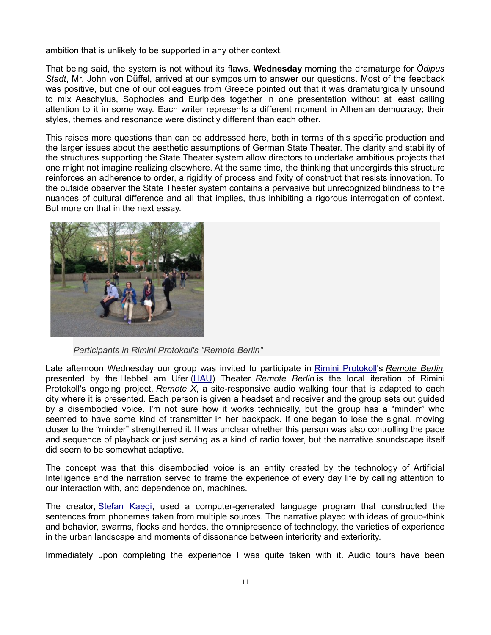ambition that is unlikely to be supported in any other context.

That being said, the system is not without its flaws. **Wednesday** morning the dramaturge for *Ödipus Stadt*, Mr. John von Düffel, arrived at our symposium to answer our questions. Most of the feedback was positive, but one of our colleagues from Greece pointed out that it was dramaturgically unsound to mix Aeschylus, Sophocles and Euripides together in one presentation without at least calling attention to it in some way. Each writer represents a different moment in Athenian democracy; their styles, themes and resonance were distinctly different than each other.

This raises more questions than can be addressed here, both in terms of this specific production and the larger issues about the aesthetic assumptions of German State Theater. The clarity and stability of the structures supporting the State Theater system allow directors to undertake ambitious projects that one might not imagine realizing elsewhere. At the same time, the thinking that undergirds this structure reinforces an adherence to order, a rigidity of process and fixity of construct that resists innovation. To the outside observer the State Theater system contains a pervasive but unrecognized blindness to the nuances of cultural difference and all that implies, thus inhibiting a rigorous interrogation of context. But more on that in the next essay.



*Participants in Rimini Protokoll's "Remote Berlin"*

Late afternoon Wednesday our group was invited to participate in [Rimini Protokoll'](http://www.rimini-protokoll.de/website/en/)s *[Remote Berlin](http://english.hebbel-am-ufer.de/programme/schedule/kaegi-rimini-remote-berlin/)*, presented by the Hebbel am Ufer [\(HAU\)](http://english.hebbel-am-ufer.de/) Theater. *Remote Berlin* is the local iteration of Rimini Protokoll's ongoing project, *Remote X*, a site-responsive audio walking tour that is adapted to each city where it is presented. Each person is given a headset and receiver and the group sets out guided by a disembodied voice. I'm not sure how it works technically, but the group has a "minder" who seemed to have some kind of transmitter in her backpack. If one began to lose the signal, moving closer to the "minder" strengthened it. It was unclear whether this person was also controlling the pace and sequence of playback or just serving as a kind of radio tower, but the narrative soundscape itself did seem to be somewhat adaptive.

The concept was that this disembodied voice is an entity created by the technology of Artificial Intelligence and the narration served to frame the experience of every day life by calling attention to our interaction with, and dependence on, machines.

The creator, [Stefan Kaegi,](http://www.rimini-protokoll.de/website/en/about_sk.html) used a computer-generated language program that constructed the sentences from phonemes taken from multiple sources. The narrative played with ideas of group-think and behavior, swarms, flocks and hordes, the omnipresence of technology, the varieties of experience in the urban landscape and moments of dissonance between interiority and exteriority.

Immediately upon completing the experience I was quite taken with it. Audio tours have been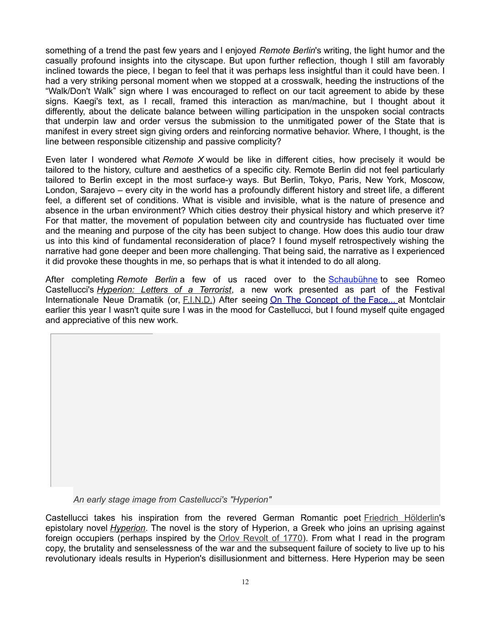something of a trend the past few years and I enjoyed *Remote Berlin*'s writing, the light humor and the casually profound insights into the cityscape. But upon further reflection, though I still am favorably inclined towards the piece, I began to feel that it was perhaps less insightful than it could have been. I had a very striking personal moment when we stopped at a crosswalk, heeding the instructions of the "Walk/Don't Walk" sign where I was encouraged to reflect on our tacit agreement to abide by these signs. Kaegi's text, as I recall, framed this interaction as man/machine, but I thought about it differently, about the delicate balance between willing participation in the unspoken social contracts that underpin law and order versus the submission to the unmitigated power of the State that is manifest in every street sign giving orders and reinforcing normative behavior. Where, I thought, is the line between responsible citizenship and passive complicity?

Even later I wondered what *Remote X* would be like in different cities, how precisely it would be tailored to the history, culture and aesthetics of a specific city. Remote Berlin did not feel particularly tailored to Berlin except in the most surface-y ways. But Berlin, Tokyo, Paris, New York, Moscow, London, Sarajevo – every city in the world has a profoundly different history and street life, a different feel, a different set of conditions. What is visible and invisible, what is the nature of presence and absence in the urban environment? Which cities destroy their physical history and which preserve it? For that matter, the movement of population between city and countryside has fluctuated over time and the meaning and purpose of the city has been subject to change. How does this audio tour draw us into this kind of fundamental reconsideration of place? I found myself retrospectively wishing the narrative had gone deeper and been more challenging. That being said, the narrative as I experienced it did provoke these thoughts in me, so perhaps that is what it intended to do all along.

After completing *Remote Berlin* a few of us raced over to the [Schaubühne](http://www.schaubuehne.de/) to see Romeo Castellucci's *[Hyperion: Letters of a Terrorist](http://www.schaubuehne.de/index.php?page=program&sub=repertoire&id=926036&language=en_EN)*, a new work presented as part of the Festival Internationale Neue Dramatik (or, [F.I.N.D.\)](http://www.schaubuehne.de/en_EN/program/festival) After seeing [On The Concept of the Face...](http://peakperfs.org/performances/concept_face) at Montclair earlier this year I wasn't quite sure I was in the mood for Castellucci, but I found myself quite engaged and appreciative of this new work.

*An early stage image from Castellucci's "Hyperion"*

Castellucci takes his inspiration from the revered German Romantic poet [Friedrich Hölderlin](http://en.wikipedia.org/wiki/Friedrich_H%C3%B6lderlin)'s epistolary novel *[Hyperion](http://en.wikipedia.org/wiki/Hyperion_(H%C3%B6lderlin_novel))*. The novel is the story of Hyperion, a Greek who joins an uprising against foreign occupiers (perhaps inspired by the [Orlov Revolt of 1770\)](http://en.wikipedia.org/wiki/Orlov_Revolt). From what I read in the program copy, the brutality and senselessness of the war and the subsequent failure of society to live up to his revolutionary ideals results in Hyperion's disillusionment and bitterness. Here Hyperion may be seen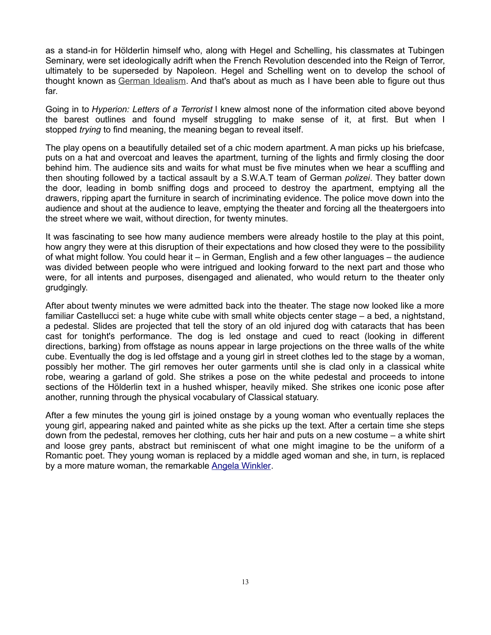as a stand-in for Hölderlin himself who, along with Hegel and Schelling, his classmates at Tubingen Seminary, were set ideologically adrift when the French Revolution descended into the Reign of Terror, ultimately to be superseded by Napoleon. Hegel and Schelling went on to develop the school of thought known as [German Idealism.](http://en.wikipedia.org/wiki/German_Idealism) And that's about as much as I have been able to figure out thus far.

Going in to *Hyperion: Letters of a Terrorist* I knew almost none of the information cited above beyond the barest outlines and found myself struggling to make sense of it, at first. But when I stopped *trying* to find meaning, the meaning began to reveal itself.

The play opens on a beautifully detailed set of a chic modern apartment. A man picks up his briefcase, puts on a hat and overcoat and leaves the apartment, turning of the lights and firmly closing the door behind him. The audience sits and waits for what must be five minutes when we hear a scuffling and then shouting followed by a tactical assault by a S.W.A.T team of German *polizei*. They batter down the door, leading in bomb sniffing dogs and proceed to destroy the apartment, emptying all the drawers, ripping apart the furniture in search of incriminating evidence. The police move down into the audience and shout at the audience to leave, emptying the theater and forcing all the theatergoers into the street where we wait, without direction, for twenty minutes.

It was fascinating to see how many audience members were already hostile to the play at this point, how angry they were at this disruption of their expectations and how closed they were to the possibility of what might follow. You could hear it – in German, English and a few other languages – the audience was divided between people who were intrigued and looking forward to the next part and those who were, for all intents and purposes, disengaged and alienated, who would return to the theater only grudgingly.

After about twenty minutes we were admitted back into the theater. The stage now looked like a more familiar Castellucci set: a huge white cube with small white objects center stage – a bed, a nightstand, a pedestal. Slides are projected that tell the story of an old injured dog with cataracts that has been cast for tonight's performance. The dog is led onstage and cued to react (looking in different directions, barking) from offstage as nouns appear in large projections on the three walls of the white cube. Eventually the dog is led offstage and a young girl in street clothes led to the stage by a woman, possibly her mother. The girl removes her outer garments until she is clad only in a classical white robe, wearing a garland of gold. She strikes a pose on the white pedestal and proceeds to intone sections of the Hölderlin text in a hushed whisper, heavily miked. She strikes one iconic pose after another, running through the physical vocabulary of Classical statuary.

After a few minutes the young girl is joined onstage by a young woman who eventually replaces the young girl, appearing naked and painted white as she picks up the text. After a certain time she steps down from the pedestal, removes her clothing, cuts her hair and puts on a new costume – a white shirt and loose grey pants, abstract but reminiscent of what one might imagine to be the uniform of a Romantic poet. They young woman is replaced by a middle aged woman and she, in turn, is replaced by a more mature woman, the remarkable [Angela Winkler.](http://en.wikipedia.org/wiki/Angela_Winkler)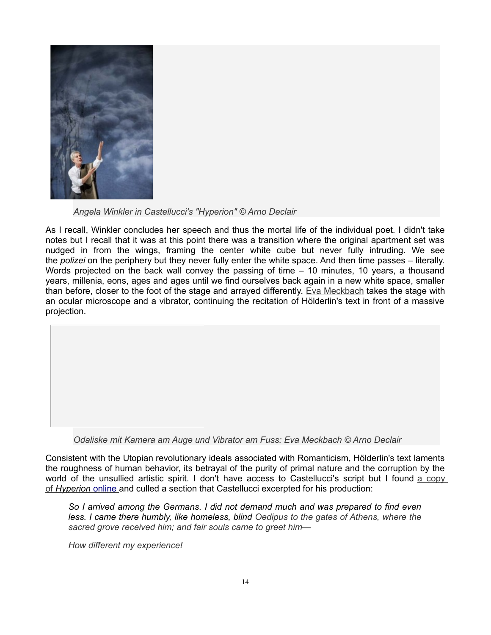

*Angela Winkler in Castellucci's "Hyperion" © Arno Declair*

As I recall, Winkler concludes her speech and thus the mortal life of the individual poet. I didn't take notes but I recall that it was at this point there was a transition where the original apartment set was nudged in from the wings, framing the center white cube but never fully intruding. We see the *polizei* on the periphery but they never fully enter the white space. And then time passes – literally. Words projected on the back wall convey the passing of time – 10 minutes, 10 years, a thousand years, millenia, eons, ages and ages until we find ourselves back again in a new white space, smaller than before, closer to the foot of the stage and arrayed differently. [Eva Meckbach](http://www.schaubuehne.de/en_EN/ensemble/actors/25005) takes the stage with an ocular microscope and a vibrator, continuing the recitation of Hölderlin's text in front of a massive projection.



*Odaliske mit Kamera am Auge und Vibrator am Fuss: Eva Meckbach © Arno Declair*

Consistent with the Utopian revolutionary ideals associated with Romanticism, Hölderlin's text laments the roughness of human behavior, its betrayal of the purity of primal nature and the corruption by the world of the unsullied artistic spirit. I don't have access to Castellucci's script but I found [a copy](http://www.scribd.com/doc/54416612/FRIEDRICH-HOLDERLIN-Hyperion-and-Selected-Poems)  [of](http://www.scribd.com/doc/54416612/FRIEDRICH-HOLDERLIN-Hyperion-and-Selected-Poems) *Hyperion* [online](http://www.scribd.com/doc/54416612/FRIEDRICH-HOLDERLIN-Hyperion-and-Selected-Poems) and culled a section that Castellucci excerpted for his production:

*So I arrived among the Germans. I did not demand much and was prepared to find even less. I came there humbly, like homeless, blind Oedipus to the gates of Athens, where the sacred grove received him; and fair souls came to greet him—*

*How different my experience!*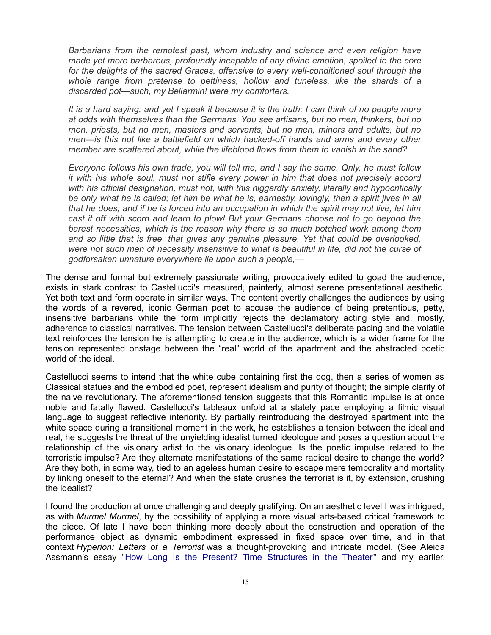*Barbarians from the remotest past, whom industry and science and even religion have made yet more barbarous, profoundly incapable of any divine emotion, spoiled to the core for the delights of the sacred Graces, offensive to every well-conditioned soul through the whole range from pretense to pettiness, hollow and tuneless, like the shards of a discarded pot—such, my Bellarmin! were my comforters.*

*It is a hard saying, and yet I speak it because it is the truth: I can think of no people more at odds with themselves than the Germans. You see artisans, but no men, thinkers, but no men, priests, but no men, masters and servants, but no men, minors and adults, but no men—is this not like a battlefield on which hacked-off hands and arms and every other member are scattered about, while the lifeblood flows from them to vanish in the sand?*

*Everyone follows his own trade, you will tell me, and I say the same. Qnly, he must follow it with his whole soul, must not stifle every power in him that does not precisely accord with his official designation, must not, with this niggardly anxiety, literally and hypocritically be only what he is called; let him be what he is, earnestly, lovingly, then a spirit jives in all that he does; and if he is forced into an occupation in which the spirit may not live, let him cast it off with scorn and learn to plow! But your Germans choose not to go beyond the barest necessities, which is the reason why there is so much botched work among them and so little that is free, that gives any genuine pleasure. Yet that could be overlooked, were not such men of necessity insensitive to what is beautiful in life, did not the curse of godforsaken unnature everywhere lie upon such a people,—*

The dense and formal but extremely passionate writing, provocatively edited to goad the audience, exists in stark contrast to Castellucci's measured, painterly, almost serene presentational aesthetic. Yet both text and form operate in similar ways. The content overtly challenges the audiences by using the words of a revered, iconic German poet to accuse the audience of being pretentious, petty, insensitive barbarians while the form implicitly rejects the declamatory acting style and, mostly, adherence to classical narratives. The tension between Castellucci's deliberate pacing and the volatile text reinforces the tension he is attempting to create in the audience, which is a wider frame for the tension represented onstage between the "real" world of the apartment and the abstracted poetic world of the ideal.

Castellucci seems to intend that the white cube containing first the dog, then a series of women as Classical statues and the embodied poet, represent idealism and purity of thought; the simple clarity of the naive revolutionary. The aforementioned tension suggests that this Romantic impulse is at once noble and fatally flawed. Castellucci's tableaux unfold at a stately pace employing a filmic visual language to suggest reflective interiority. By partially reintroducing the destroyed apartment into the white space during a transitional moment in the work, he establishes a tension between the ideal and real, he suggests the threat of the unyielding idealist turned ideologue and poses a question about the relationship of the visionary artist to the visionary ideologue. Is the poetic impulse related to the terroristic impulse? Are they alternate manifestations of the same radical desire to change the world? Are they both, in some way, tied to an ageless human desire to escape mere temporality and mortality by linking oneself to the eternal? And when the state crushes the terrorist is it, by extension, crushing the idealist?

I found the production at once challenging and deeply gratifying. On an aesthetic level I was intrigued, as with *Murmel Murmel*, by the possibility of applying a more visual arts-based critical framework to the piece. Of late I have been thinking more deeply about the construction and operation of the performance object as dynamic embodiment expressed in fixed space over time, and in that context *Hyperion: Letters of a Terrorist* was a thought-provoking and intricate model. (See Aleida Assmann's essay ["How Long Is the Present? Time Structures in the Theater"](http://www.goethe.de/kue/the/tst/en10330790.htm) and my earlier,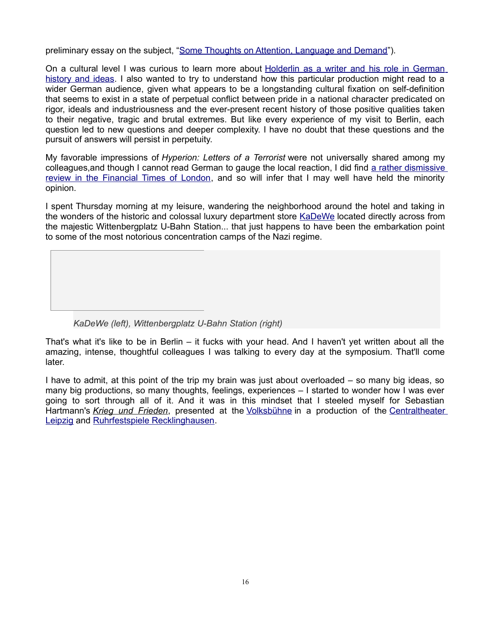preliminary essay on the subject, ["Some Thoughts on Attention, Language and Demand"](http://www.culturebot.org/2012/07/13854/some-thoughts-on-attention-language-and-demand/)).

On a cultural level I was curious to learn more about [Holderlin as a writer and his role in German](http://www.lrb.co.uk/v26/n18/theodore-ziolkowski/breathing-in-verse) [history and ideas.](http://www.lrb.co.uk/v26/n18/theodore-ziolkowski/breathing-in-verse) I also wanted to try to understand how this particular production might read to a wider German audience, given what appears to be a longstanding cultural fixation on self-definition that seems to exist in a state of perpetual conflict between pride in a national character predicated on rigor, ideals and industriousness and the ever-present recent history of those positive qualities taken to their negative, tragic and brutal extremes. But like every experience of my visit to Berlin, each question led to new questions and deeper complexity. I have no doubt that these questions and the pursuit of answers will persist in perpetuity.

My favorable impressions of *Hyperion: Letters of a Terrorist* were not universally shared among my colleagues, and though I cannot read German to gauge the local reaction, I did find [a rather dismissive](http://www.ft.com/intl/cms/s/2/8e49329e-907e-11e2-862b-00144feabdc0.html#axzz2UnJ95F6N) [review in the Financial Times of London,](http://www.ft.com/intl/cms/s/2/8e49329e-907e-11e2-862b-00144feabdc0.html#axzz2UnJ95F6N) and so will infer that I may well have held the minority opinion.

I spent Thursday morning at my leisure, wandering the neighborhood around the hotel and taking in the wonders of the historic and colossal luxury department store [KaDeWe](http://www.kadewe.de/en) located directly across from the majestic Wittenbergplatz U-Bahn Station... that just happens to have been the embarkation point to some of the most notorious concentration camps of the Nazi regime.



*KaDeWe (left), Wittenbergplatz U-Bahn Station (right)*

That's what it's like to be in Berlin – it fucks with your head. And I haven't yet written about all the amazing, intense, thoughtful colleagues I was talking to every day at the symposium. That'll come later.

I have to admit, at this point of the trip my brain was just about overloaded – so many big ideas, so many big productions, so many thoughts, feelings, experiences – I started to wonder how I was ever going to sort through all of it. And it was in this mindset that I steeled myself for Sebastian Hartmann's *[Krieg und Frieden](http://www.berlinerfestspiele.de/en/aktuell/festivals/theatertreffen/tt13_programm/tt13_programm_gesamt/tt13_veranstaltungsdetail_62427.php)*, presented at the [Volksbühne](http://www.volksbuehne-berlin.de/english/calender/) in a production of the [Centraltheater](http://www.schauspiel-leipzig.de/) [Leipzig](http://www.schauspiel-leipzig.de/) and [Ruhrfestspiele Recklinghausen.](http://www.ruhrfestspiele.de/)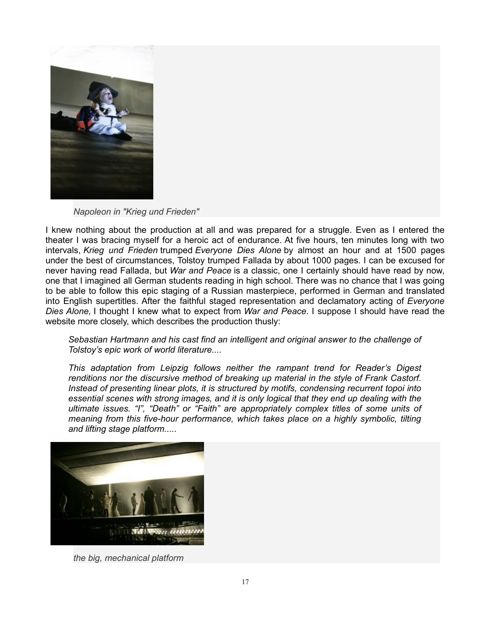

*Napoleon in "Krieg und Frieden"*

I knew nothing about the production at all and was prepared for a struggle. Even as I entered the theater I was bracing myself for a heroic act of endurance. At five hours, ten minutes long with two intervals, *Krieg und Frieden* trumped *Everyone Dies Alone* by almost an hour and at 1500 pages under the best of circumstances, Tolstoy trumped Fallada by about 1000 pages. I can be excused for never having read Fallada, but *War and Peace* is a classic, one I certainly should have read by now, one that I imagined all German students reading in high school. There was no chance that I was going to be able to follow this epic staging of a Russian masterpiece, performed in German and translated into English supertitles. After the faithful staged representation and declamatory acting of *Everyone Dies Alone,* I thought I knew what to expect from *War and Peace*. I suppose I should have read the website more closely, which describes the production thusly:

*Sebastian Hartmann and his cast find an intelligent and original answer to the challenge of Tolstoy's epic work of world literature....*

*This adaptation from Leipzig follows neither the rampant trend for Reader's Digest renditions nor the discursive method of breaking up material in the style of Frank Castorf. Instead of presenting linear plots, it is structured by motifs, condensing recurrent topoi into essential scenes with strong images, and it is only logical that they end up dealing with the ultimate issues. "I", "Death" or "Faith" are appropriately complex titles of some units of meaning from this five-hour performance, which takes place on a highly symbolic, tilting and lifting stage platform.....*



*the big, mechanical platform*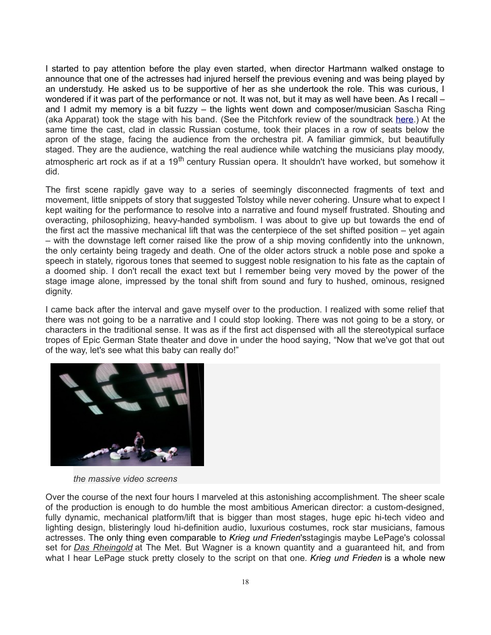I started to pay attention before the play even started, when director Hartmann walked onstage to announce that one of the actresses had injured herself the previous evening and was being played by an understudy. He asked us to be supportive of her as she undertook the role. This was curious, I wondered if it was part of the performance or not. It was not, but it may as well have been. As I recall – and I admit my memory is a bit fuzzy – the lights went down and composer/musician Sascha Ring (aka Apparat) took the stage with his band. (See the Pitchfork review of the soundtrack [here.](http://pitchfork.com/reviews/albums/17624-apparat-krieg-und-frieden-music-for-theatre/)) At the same time the cast, clad in classic Russian costume, took their places in a row of seats below the apron of the stage, facing the audience from the orchestra pit. A familiar gimmick, but beautifully staged. They are the audience, watching the real audience while watching the musicians play moody, atmospheric art rock as if at a 19<sup>th</sup> century Russian opera. It shouldn't have worked, but somehow it did.

The first scene rapidly gave way to a series of seemingly disconnected fragments of text and movement, little snippets of story that suggested Tolstoy while never cohering. Unsure what to expect I kept waiting for the performance to resolve into a narrative and found myself frustrated. Shouting and overacting, philosophizing, heavy-handed symbolism. I was about to give up but towards the end of the first act the massive mechanical lift that was the centerpiece of the set shifted position – yet again – with the downstage left corner raised like the prow of a ship moving confidently into the unknown, the only certainty being tragedy and death. One of the older actors struck a noble pose and spoke a speech in stately, rigorous tones that seemed to suggest noble resignation to his fate as the captain of a doomed ship. I don't recall the exact text but I remember being very moved by the power of the stage image alone, impressed by the tonal shift from sound and fury to hushed, ominous, resigned dignity.

I came back after the interval and gave myself over to the production. I realized with some relief that there was not going to be a narrative and I could stop looking. There was not going to be a story, or characters in the traditional sense. It was as if the first act dispensed with all the stereotypical surface tropes of Epic German State theater and dove in under the hood saying, "Now that we've got that out of the way, let's see what this baby can really do!"



*the massive video screens*

Over the course of the next four hours I marveled at this astonishing accomplishment. The sheer scale of the production is enough to do humble the most ambitious American director: a custom-designed, fully dynamic, mechanical platform/lift that is bigger than most stages, huge epic hi-tech video and lighting design, blisteringly loud hi-definition audio, luxurious costumes, rock star musicians, famous actresses. The only thing even comparable to *Krieg und Frieden*'sstagingis maybe LePage's colossal set for *[Das Rheingold](http://www.newyorker.com/online/blogs/culture/2012/05/the-met-ring-cycle-critics.html)* at The Met. But Wagner is a known quantity and a guaranteed hit, and from what I hear LePage stuck pretty closely to the script on that one. *Krieg und Frieden* is a whole new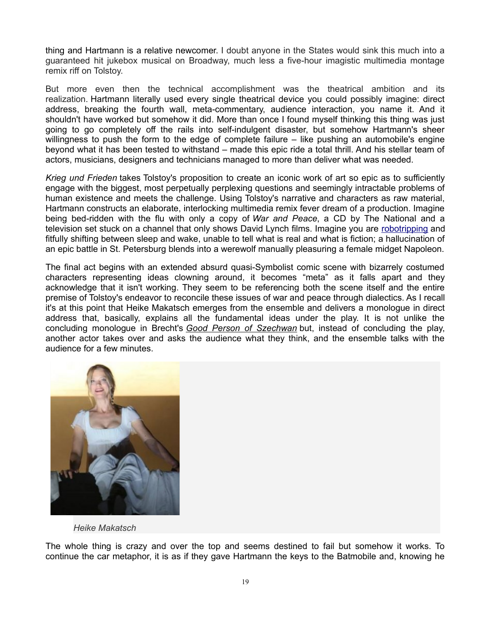thing and Hartmann is a relative newcomer. I doubt anyone in the States would sink this much into a guaranteed hit jukebox musical on Broadway, much less a five-hour imagistic multimedia montage remix riff on Tolstoy.

But more even then the technical accomplishment was the theatrical ambition and its realization. Hartmann literally used every single theatrical device you could possibly imagine: direct address, breaking the fourth wall, meta-commentary, audience interaction, you name it. And it shouldn't have worked but somehow it did. More than once I found myself thinking this thing was just going to go completely off the rails into self-indulgent disaster, but somehow Hartmann's sheer willingness to push the form to the edge of complete failure – like pushing an automobile's engine beyond what it has been tested to withstand – made this epic ride a total thrill. And his stellar team of actors, musicians, designers and technicians managed to more than deliver what was needed.

*Krieg und Frieden* takes Tolstoy's proposition to create an iconic work of art so epic as to sufficiently engage with the biggest, most perpetually perplexing questions and seemingly intractable problems of human existence and meets the challenge. Using Tolstoy's narrative and characters as raw material, Hartmann constructs an elaborate, interlocking multimedia remix fever dream of a production. Imagine being bed-ridden with the flu with only a copy of *War and Peace*, a CD by The National and a television set stuck on a channel that only shows David Lynch films. Imagine you are [robotripping](http://www.urbandictionary.com/define.php?term=robotrip) and fitfully shifting between sleep and wake, unable to tell what is real and what is fiction; a hallucination of an epic battle in St. Petersburg blends into a werewolf manually pleasuring a female midget Napoleon.

The final act begins with an extended absurd quasi-Symbolist comic scene with bizarrely costumed characters representing ideas clowning around, it becomes "meta" as it falls apart and they acknowledge that it isn't working. They seem to be referencing both the scene itself and the entire premise of Tolstoy's endeavor to reconcile these issues of war and peace through dialectics. As I recall it's at this point that Heike Makatsch emerges from the ensemble and delivers a monologue in direct address that, basically, explains all the fundamental ideas under the play. It is not unlike the concluding monologue in Brecht's *[Good Person of Szechwan](https://en.wikipedia.org/wiki/The_Good_Person_of_Szechwan)* but, instead of concluding the play, another actor takes over and asks the audience what they think, and the ensemble talks with the audience for a few minutes.



*Heike Makatsch*

The whole thing is crazy and over the top and seems destined to fail but somehow it works. To continue the car metaphor, it is as if they gave Hartmann the keys to the Batmobile and, knowing he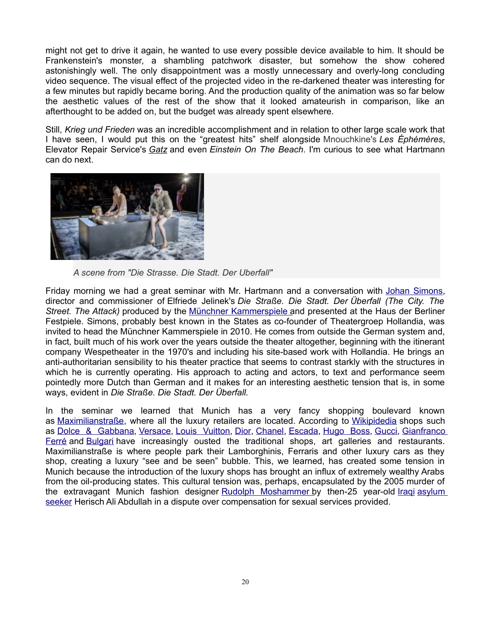might not get to drive it again, he wanted to use every possible device available to him. It should be Frankenstein's monster, a shambling patchwork disaster, but somehow the show cohered astonishingly well. The only disappointment was a mostly unnecessary and overly-long concluding video sequence. The visual effect of the projected video in the re-darkened theater was interesting for a few minutes but rapidly became boring. And the production quality of the animation was so far below the aesthetic values of the rest of the show that it looked amateurish in comparison, like an afterthought to be added on, but the budget was already spent elsewhere.

Still, *Krieg und Frieden* was an incredible accomplishment and in relation to other large scale work that I have seen, I would put this on the "greatest hits" shelf alongside Mnouchkine's *Les Éphémères*, Elevator Repair Service's *[Gatz](http://www.elevator.org/works/gatz/)* and even *Einstein On The Beach*. I'm curious to see what Hartmann can do next.



*A scene from "Die Strasse. Die Stadt. Der Uberfall"*

Friday morning we had a great seminar with Mr. Hartmann and a conversation with [Johan Simons,](http://www.goethe.de/kue/the/reg/reg/sz/jsi/enindex.htm) director and commissioner of Elfriede Jelinek's *Die Straße. Die Stadt. Der Überfall (The City. The Street. The Attack*) produced by the Münchner Kammerspiele and presented at the Haus der Berliner Festpiele. Simons, probably best known in the States as co-founder of Theatergroep Hollandia, was invited to head the Münchner Kammerspiele in 2010. He comes from outside the German system and, in fact, built much of his work over the years outside the theater altogether, beginning with the itinerant company Wespetheater in the 1970's and including his site-based work with Hollandia. He brings an anti-authoritarian sensibility to his theater practice that seems to contrast starkly with the structures in which he is currently operating. His approach to acting and actors, to text and performance seem pointedly more Dutch than German and it makes for an interesting aesthetic tension that is, in some ways, evident in *Die Straße. Die Stadt. Der Überfall.*

In the seminar we learned that Munich has a very fancy shopping boulevard known as [Maximilianstraße,](http://en.wikipedia.org/wiki/Maximilianstra%C3%9Fe_(Munich)) where all the luxury retailers are located. According to [Wikipidedia](http://en.wikipedia.org/wiki/Maximilianstra%C3%9Fe_(Munich)) shops such as [Dolce & Gabbana,](http://en.wikipedia.org/wiki/Dolce_%26_Gabbana) [Versace,](http://en.wikipedia.org/wiki/Versace) [Louis Vuitton,](http://en.wikipedia.org/wiki/Louis_Vuitton) [Dior,](http://en.wikipedia.org/wiki/Dior) [Chanel,](http://en.wikipedia.org/wiki/Chanel) [Escada,](http://en.wikipedia.org/wiki/Escada) [Hugo Boss,](http://en.wikipedia.org/wiki/Hugo_Boss) [Gucci,](http://en.wikipedia.org/wiki/Gucci) [Gianfranco](http://en.wikipedia.org/wiki/Gianfranco_Ferr%C3%A9) [Ferré](http://en.wikipedia.org/wiki/Gianfranco_Ferr%C3%A9) and [Bulgari](http://en.wikipedia.org/wiki/Bulgari) have increasingly ousted the traditional shops, art galleries and restaurants. Maximilianstraße is where people park their Lamborghinis, Ferraris and other luxury cars as they shop, creating a luxury "see and be seen" bubble. This, we learned, has created some tension in Munich because the introduction of the luxury shops has brought an influx of extremely wealthy Arabs from the oil-producing states. This cultural tension was, perhaps, encapsulated by the 2005 murder of the extravagant Munich fashion designer [Rudolph Moshammer b](http://en.wikipedia.org/wiki/Rudolph_Moshammer)y then-25 year-old Iragi [asylum](http://en.wikipedia.org/wiki/Asylum_seeker) [seeker](http://en.wikipedia.org/wiki/Asylum_seeker) Herisch Ali Abdullah in a dispute over compensation for sexual services provided.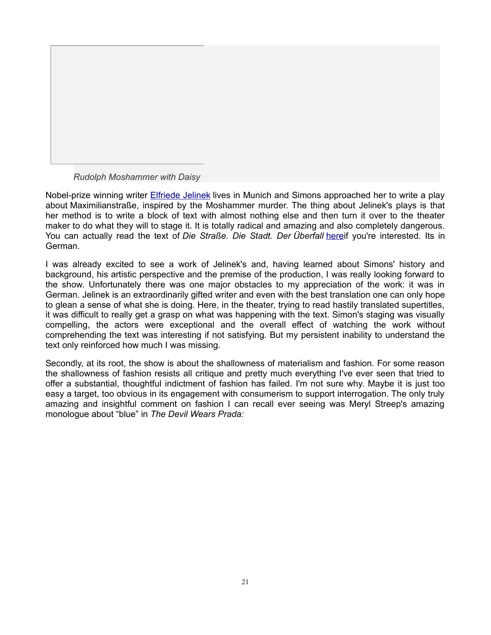

*Rudolph Moshammer with Daisy*

Nobel-prize winning writer **[Elfriede Jelinek](http://www.elfriedejelinek.com/) lives in Munich and Simons approached her to write a play** about Maximilianstraße, inspired by the Moshammer murder. The thing about Jelinek's plays is that her method is to write a block of text with almost nothing else and then turn it over to the theater maker to do what they will to stage it. It is totally radical and amazing and also completely dangerous. You can actually read the text of *Die Straße. Die Stadt. Der Überfall* [herei](http://a-e-m-gmbh.com/wessely/fstrasse.htm)f you're interested. Its in German.

I was already excited to see a work of Jelinek's and, having learned about Simons' history and background, his artistic perspective and the premise of the production, I was really looking forward to the show. Unfortunately there was one major obstacles to my appreciation of the work: it was in German. Jelinek is an extraordinarily gifted writer and even with the best translation one can only hope to glean a sense of what she is doing. Here, in the theater, trying to read hastily translated supertitles, it was difficult to really get a grasp on what was happening with the text. Simon's staging was visually compelling, the actors were exceptional and the overall effect of watching the work without comprehending the text was interesting if not satisfying. But my persistent inability to understand the text only reinforced how much I was missing.

Secondly, at its root, the show is about the shallowness of materialism and fashion. For some reason the shallowness of fashion resists all critique and pretty much everything I've ever seen that tried to offer a substantial, thoughtful indictment of fashion has failed. I'm not sure why. Maybe it is just too easy a target, too obvious in its engagement with consumerism to support interrogation. The only truly amazing and insightful comment on fashion I can recall ever seeing was Meryl Streep's amazing monologue about "blue" in *The Devil Wears Prada:*